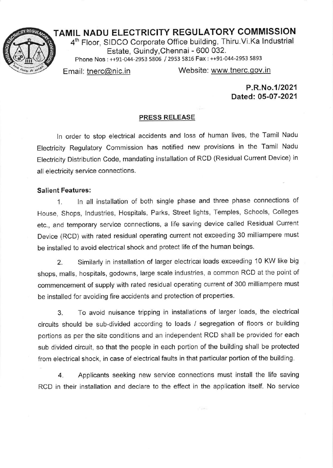## TAMIL NADU ELECTRICITY REGULATORY COMMISSION

4th Floor, SIDCO Corporate Office building, Thiru.Vi.Ka lndustrial Estate, Guindy,Chennai - 600 032. Phone Nos: ++91-044-2953 5806 / 2953 5316 Fax: ++91-044-2953 <sup>5893</sup>

Email: tnerc@nic.in Website: www.tnerc.gov.in

P.R.No.112021 Dated: 05-07 -2021

## **PRESS RELEASE**

ln order to stop electrical accidents and loss of human lives, the Tamil Nadu Electricity Regulatory Commission has notified new provisions in the Tamil Nadu Electricity Distribution Code, mandating installation of RCD (Residual Current Device) in all electricity service connections.

## Salient Features:

1. In all installation of both single phase and three phase connections of House, Shops, lndustries, Hospitals, Parks, Street lights, Temples, Schools, Colleges etc., and temporary service connections, a life saving device called Residual Current Device (RCD) with rated residual operating current not exceeding 30 milliampere must be installed to avoid electrical shock and protect life of the human beings,

2. Similarly in installation of larger electricat loads exceeding 10 KW like big shops, malls, hospitals, godowns, large scale industries, a common RCD at the point of commencement of supply with rated residual operating current of 300 milliampere must be installed for avoiding fire accidents and protection of properties.

3. To avoid nuisance tripping in installations of larger loads, the electrical circuits should be sub-divided according to loads / segregation of floors or building portions as per the site conditions and an independent RCD shall be provided for each sub divided circuit, so that the people in each portion of the building shall be protected from electrical shock, in case of electrical faults in that particular portion of the building.

4. Applicants seeking new service connections must install the life saving RCD in their installation and declare to the effect in the application itself. No service